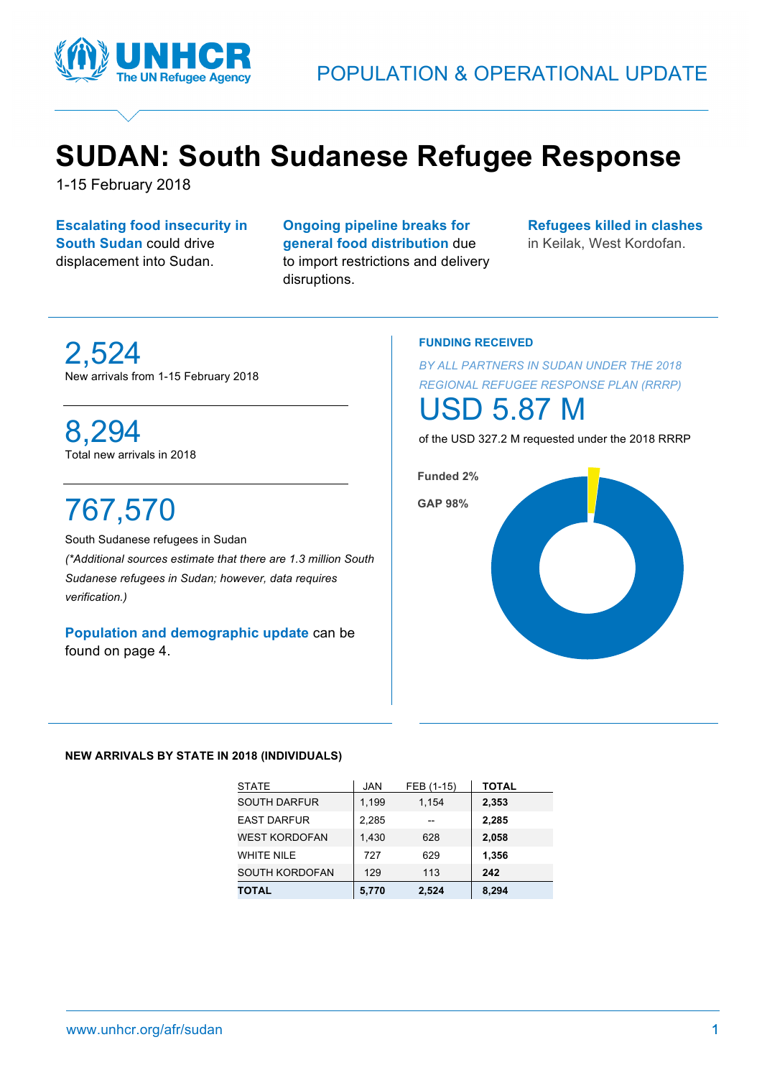

## **SUDAN: South Sudanese Refugee Response**

1-15 February 2018

**Escalating food insecurity in South Sudan** could drive displacement into Sudan.

**Ongoing pipeline breaks for general food distribution** due to import restrictions and delivery disruptions.

**Refugees killed in clashes**

in Keilak, West Kordofan.

## 2,524 New arrivals from 1-15 February 2018

### 8,294 Total new arrivals in 2018

# 767,570

South Sudanese refugees in Sudan *(\*Additional sources estimate that there are 1.3 million South Sudanese refugees in Sudan; however, data requires verification.)*

**Population and demographic update** can be found on page 4.

#### **FUNDING RECEIVED**

*BY ALL PARTNERS IN SUDAN UNDER THE 2018 REGIONAL REFUGEE RESPONSE PLAN (RRRP)*

## 5.87

of the USD 327.2 M requested under the 2018 RRRP



#### **NEW ARRIVALS BY STATE IN 2018 (INDIVIDUALS)**

| <b>STATE</b>          | <b>JAN</b> | FEB (1-15) | <b>TOTAL</b> |
|-----------------------|------------|------------|--------------|
| <b>SOUTH DARFUR</b>   | 1,199      | 1,154      | 2,353        |
| <b>EAST DARFUR</b>    | 2,285      |            | 2,285        |
| <b>WEST KORDOFAN</b>  | 1,430      | 628        | 2,058        |
| <b>WHITE NILE</b>     | 727        | 629        | 1,356        |
| <b>SOUTH KORDOFAN</b> | 129        | 113        | 242          |
| <b>TOTAL</b>          | 5,770      | 2,524      | 8,294        |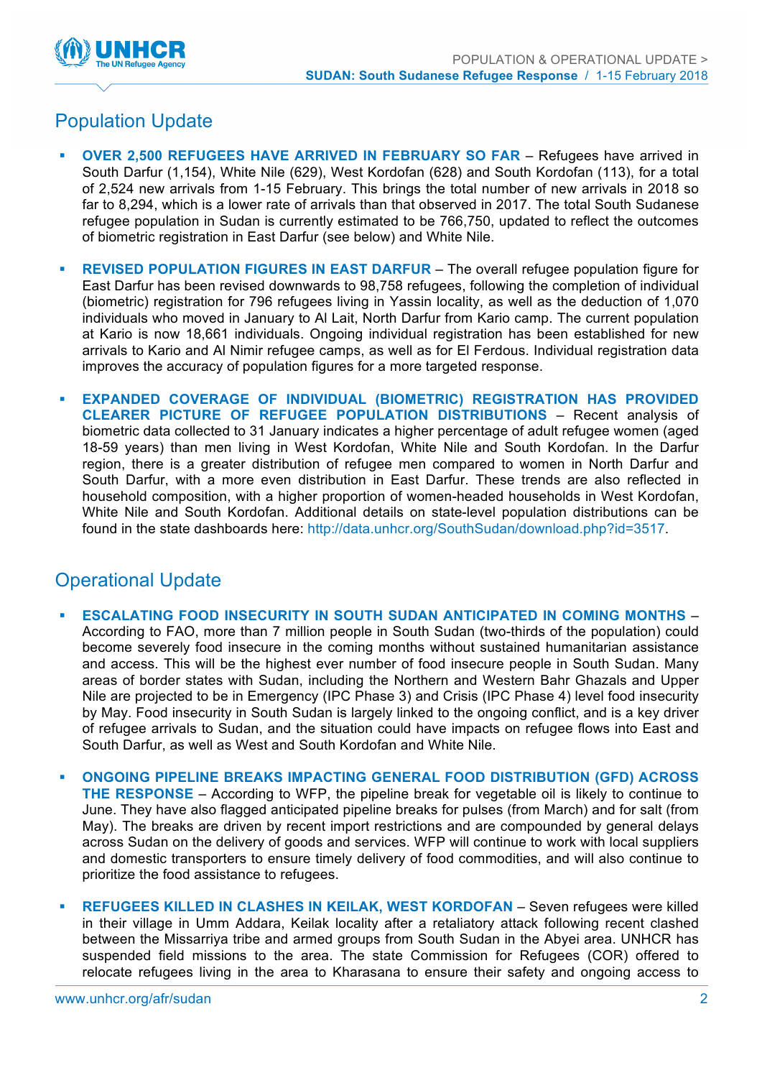

## Population Update

- § **OVER 2,500 REFUGEES HAVE ARRIVED IN FEBRUARY SO FAR** Refugees have arrived in South Darfur (1,154), White Nile (629), West Kordofan (628) and South Kordofan (113), for a total of 2,524 new arrivals from 1-15 February. This brings the total number of new arrivals in 2018 so far to 8,294, which is a lower rate of arrivals than that observed in 2017. The total South Sudanese refugee population in Sudan is currently estimated to be 766,750, updated to reflect the outcomes of biometric registration in East Darfur (see below) and White Nile.
- **REVISED POPULATION FIGURES IN EAST DARFUR The overall refugee population figure for** East Darfur has been revised downwards to 98,758 refugees, following the completion of individual (biometric) registration for 796 refugees living in Yassin locality, as well as the deduction of 1,070 individuals who moved in January to Al Lait, North Darfur from Kario camp. The current population at Kario is now 18,661 individuals. Ongoing individual registration has been established for new arrivals to Kario and Al Nimir refugee camps, as well as for El Ferdous. Individual registration data improves the accuracy of population figures for a more targeted response.
- § **EXPANDED COVERAGE OF INDIVIDUAL (BIOMETRIC) REGISTRATION HAS PROVIDED CLEARER PICTURE OF REFUGEE POPULATION DISTRIBUTIONS** – Recent analysis of biometric data collected to 31 January indicates a higher percentage of adult refugee women (aged 18-59 years) than men living in West Kordofan, White Nile and South Kordofan. In the Darfur region, there is a greater distribution of refugee men compared to women in North Darfur and South Darfur, with a more even distribution in East Darfur. These trends are also reflected in household composition, with a higher proportion of women-headed households in West Kordofan, White Nile and South Kordofan. Additional details on state-level population distributions can be found in the state dashboards here: http://data.unhcr.org/SouthSudan/download.php?id=3517.

### Operational Update

- § **ESCALATING FOOD INSECURITY IN SOUTH SUDAN ANTICIPATED IN COMING MONTHS** According to FAO, more than 7 million people in South Sudan (two-thirds of the population) could become severely food insecure in the coming months without sustained humanitarian assistance and access. This will be the highest ever number of food insecure people in South Sudan. Many areas of border states with Sudan, including the Northern and Western Bahr Ghazals and Upper Nile are projected to be in Emergency (IPC Phase 3) and Crisis (IPC Phase 4) level food insecurity by May. Food insecurity in South Sudan is largely linked to the ongoing conflict, and is a key driver of refugee arrivals to Sudan, and the situation could have impacts on refugee flows into East and South Darfur, as well as West and South Kordofan and White Nile.
- § **ONGOING PIPELINE BREAKS IMPACTING GENERAL FOOD DISTRIBUTION (GFD) ACROSS THE RESPONSE** – According to WFP, the pipeline break for vegetable oil is likely to continue to June. They have also flagged anticipated pipeline breaks for pulses (from March) and for salt (from May). The breaks are driven by recent import restrictions and are compounded by general delays across Sudan on the delivery of goods and services. WFP will continue to work with local suppliers and domestic transporters to ensure timely delivery of food commodities, and will also continue to prioritize the food assistance to refugees.
- § **REFUGEES KILLED IN CLASHES IN KEILAK, WEST KORDOFAN** Seven refugees were killed in their village in Umm Addara, Keilak locality after a retaliatory attack following recent clashed between the Missarriya tribe and armed groups from South Sudan in the Abyei area. UNHCR has suspended field missions to the area. The state Commission for Refugees (COR) offered to relocate refugees living in the area to Kharasana to ensure their safety and ongoing access to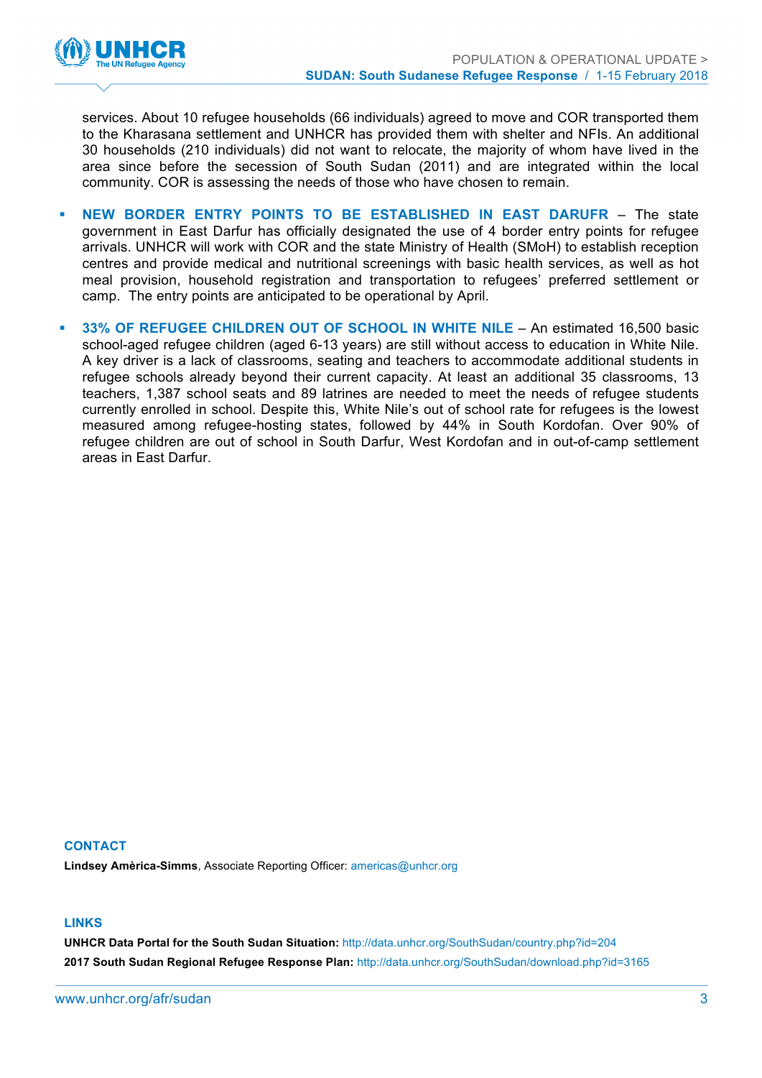

services. About 10 refugee households (66 individuals) agreed to move and COR transported them to the Kharasana settlement and UNHCR has provided them with shelter and NFIs. An additional 30 households (210 individuals) did not want to relocate, the majority of whom have lived in the area since before the secession of South Sudan (2011) and are integrated within the local community. COR is assessing the needs of those who have chosen to remain.

- § **NEW BORDER ENTRY POINTS TO BE ESTABLISHED IN EAST DARUFR** The state government in East Darfur has officially designated the use of 4 border entry points for refugee arrivals. UNHCR will work with COR and the state Ministry of Health (SMoH) to establish reception centres and provide medical and nutritional screenings with basic health services, as well as hot meal provision, household registration and transportation to refugees' preferred settlement or camp. The entry points are anticipated to be operational by April.
- § **33% OF REFUGEE CHILDREN OUT OF SCHOOL IN WHITE NILE** An estimated 16,500 basic school-aged refugee children (aged 6-13 years) are still without access to education in White Nile. A key driver is a lack of classrooms, seating and teachers to accommodate additional students in refugee schools already beyond their current capacity. At least an additional 35 classrooms, 13 teachers, 1,387 school seats and 89 latrines are needed to meet the needs of refugee students currently enrolled in school. Despite this, White Nile's out of school rate for refugees is the lowest measured among refugee-hosting states, followed by 44% in South Kordofan. Over 90% of refugee children are out of school in South Darfur, West Kordofan and in out-of-camp settlement areas in East Darfur.

#### **CONTACT Lindsey Amèrica-Simms**, Associate Reporting Officer: americas@unhcr.org

#### **LINKS**

**UNHCR Data Portal for the South Sudan Situation:** http://data.unhcr.org/SouthSudan/country.php?id=204 **2017 South Sudan Regional Refugee Response Plan:** http://data.unhcr.org/SouthSudan/download.php?id=3165